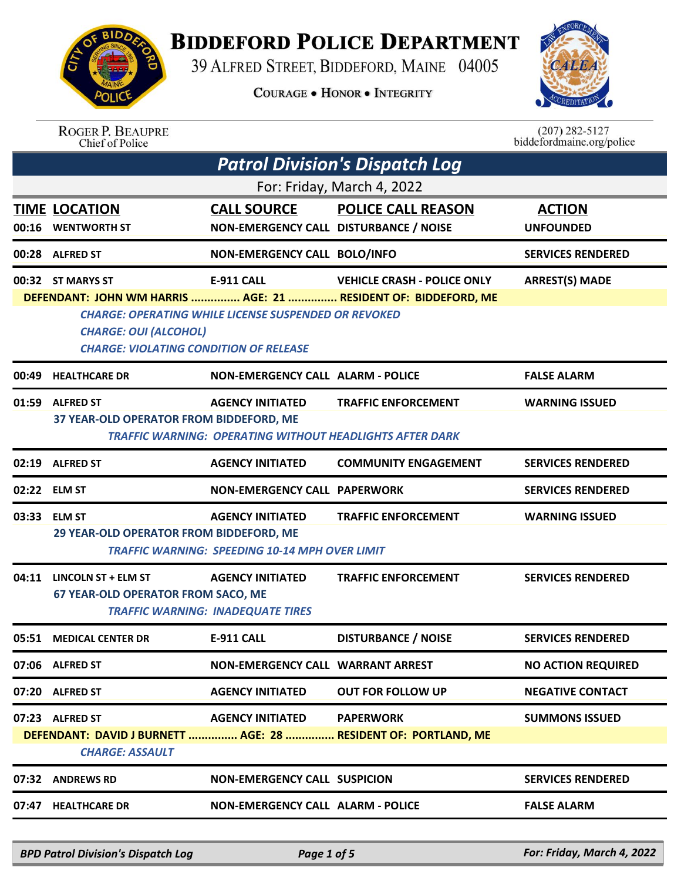

## **BIDDEFORD POLICE DEPARTMENT**

39 ALFRED STREET, BIDDEFORD, MAINE 04005

**COURAGE . HONOR . INTEGRITY** 



| <b>ROGER P. BEAUPRE</b> |
|-------------------------|
| Chief of Police         |

 $(207)$  282-5127<br>biddefordmaine.org/police

|       | <b>Patrol Division's Dispatch Log</b>                                                                                                                                                                                                                                                                                   |                                                                                  |                                                                                               |                                   |  |  |
|-------|-------------------------------------------------------------------------------------------------------------------------------------------------------------------------------------------------------------------------------------------------------------------------------------------------------------------------|----------------------------------------------------------------------------------|-----------------------------------------------------------------------------------------------|-----------------------------------|--|--|
|       | For: Friday, March 4, 2022                                                                                                                                                                                                                                                                                              |                                                                                  |                                                                                               |                                   |  |  |
| 00:16 | <b>TIME LOCATION</b><br><b>WENTWORTH ST</b>                                                                                                                                                                                                                                                                             | <b>CALL SOURCE</b><br>NON-EMERGENCY CALL DISTURBANCE / NOISE                     | <b>POLICE CALL REASON</b>                                                                     | <b>ACTION</b><br><b>UNFOUNDED</b> |  |  |
|       | 00:28 ALFRED ST                                                                                                                                                                                                                                                                                                         | NON-EMERGENCY CALL BOLO/INFO                                                     |                                                                                               | <b>SERVICES RENDERED</b>          |  |  |
|       | <b>E-911 CALL</b><br><b>VEHICLE CRASH - POLICE ONLY</b><br><b>ARREST(S) MADE</b><br>00:32 ST MARYS ST<br>DEFENDANT: JOHN WM HARRIS  AGE: 21  RESIDENT OF: BIDDEFORD, ME<br><b>CHARGE: OPERATING WHILE LICENSE SUSPENDED OR REVOKED</b><br><b>CHARGE: OUI (ALCOHOL)</b><br><b>CHARGE: VIOLATING CONDITION OF RELEASE</b> |                                                                                  |                                                                                               |                                   |  |  |
|       | 00:49 HEALTHCARE DR                                                                                                                                                                                                                                                                                                     | <b>NON-EMERGENCY CALL ALARM - POLICE</b>                                         |                                                                                               | <b>FALSE ALARM</b>                |  |  |
|       | 01:59 ALFRED ST<br>37 YEAR-OLD OPERATOR FROM BIDDEFORD, ME                                                                                                                                                                                                                                                              | <b>AGENCY INITIATED</b>                                                          | <b>TRAFFIC ENFORCEMENT</b><br><b>TRAFFIC WARNING: OPERATING WITHOUT HEADLIGHTS AFTER DARK</b> | <b>WARNING ISSUED</b>             |  |  |
|       | 02:19 ALFRED ST                                                                                                                                                                                                                                                                                                         | <b>AGENCY INITIATED</b>                                                          | <b>COMMUNITY ENGAGEMENT</b>                                                                   | <b>SERVICES RENDERED</b>          |  |  |
|       | 02:22 ELM ST                                                                                                                                                                                                                                                                                                            | <b>NON-EMERGENCY CALL PAPERWORK</b>                                              |                                                                                               | <b>SERVICES RENDERED</b>          |  |  |
| 03:33 | <b>ELM ST</b><br>29 YEAR-OLD OPERATOR FROM BIDDEFORD, ME                                                                                                                                                                                                                                                                | <b>AGENCY INITIATED</b><br><b>TRAFFIC WARNING: SPEEDING 10-14 MPH OVER LIMIT</b> | <b>TRAFFIC ENFORCEMENT</b>                                                                    | <b>WARNING ISSUED</b>             |  |  |
|       | 04:11 LINCOLN ST + ELM ST<br><b>67 YEAR-OLD OPERATOR FROM SACO, ME</b>                                                                                                                                                                                                                                                  | <b>AGENCY INITIATED</b><br><b>TRAFFIC WARNING: INADEQUATE TIRES</b>              | <b>TRAFFIC ENFORCEMENT</b>                                                                    | <b>SERVICES RENDERED</b>          |  |  |
|       | 05:51 MEDICAL CENTER DR                                                                                                                                                                                                                                                                                                 | <b>E-911 CALL</b>                                                                | <b>DISTURBANCE / NOISE</b>                                                                    | <b>SERVICES RENDERED</b>          |  |  |
|       | 07:06 ALFRED ST                                                                                                                                                                                                                                                                                                         | <b>NON-EMERGENCY CALL WARRANT ARREST</b>                                         |                                                                                               | <b>NO ACTION REQUIRED</b>         |  |  |
|       | 07:20 ALFRED ST                                                                                                                                                                                                                                                                                                         | <b>AGENCY INITIATED</b>                                                          | <b>OUT FOR FOLLOW UP</b>                                                                      | <b>NEGATIVE CONTACT</b>           |  |  |
|       | 07:23 ALFRED ST<br><b>CHARGE: ASSAULT</b>                                                                                                                                                                                                                                                                               | <b>AGENCY INITIATED</b>                                                          | <b>PAPERWORK</b><br>DEFENDANT: DAVID J BURNETT  AGE: 28  RESIDENT OF: PORTLAND, ME            | <b>SUMMONS ISSUED</b>             |  |  |
|       | 07:32 ANDREWS RD                                                                                                                                                                                                                                                                                                        | <b>NON-EMERGENCY CALL SUSPICION</b>                                              |                                                                                               | <b>SERVICES RENDERED</b>          |  |  |
|       | 07:47 HEALTHCARE DR                                                                                                                                                                                                                                                                                                     | <b>NON-EMERGENCY CALL ALARM - POLICE</b>                                         |                                                                                               | <b>FALSE ALARM</b>                |  |  |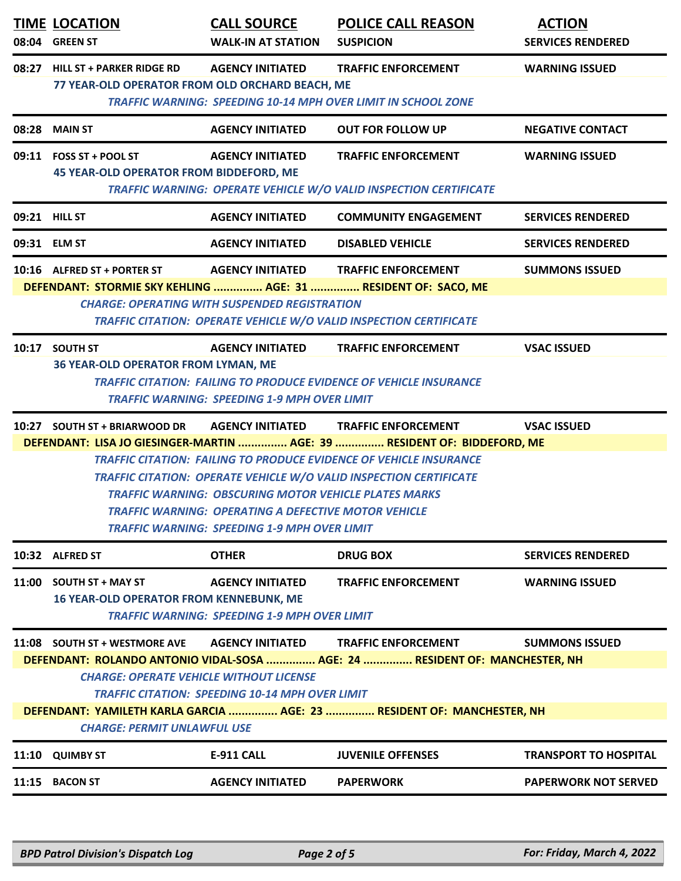|       | <b>TIME LOCATION</b><br>08:04 GREEN ST                                                                                                                                                                                                                                                                                                                                                                                                                                                                                            | <b>CALL SOURCE</b><br><b>WALK-IN AT STATION</b>                                 | <b>POLICE CALL REASON</b><br><b>SUSPICION</b>                                                                                                                      | <b>ACTION</b><br><b>SERVICES RENDERED</b> |  |
|-------|-----------------------------------------------------------------------------------------------------------------------------------------------------------------------------------------------------------------------------------------------------------------------------------------------------------------------------------------------------------------------------------------------------------------------------------------------------------------------------------------------------------------------------------|---------------------------------------------------------------------------------|--------------------------------------------------------------------------------------------------------------------------------------------------------------------|-------------------------------------------|--|
| 08:27 | <b>HILL ST + PARKER RIDGE RD</b><br><b>AGENCY INITIATED</b><br><b>TRAFFIC ENFORCEMENT</b><br><b>WARNING ISSUED</b><br>77 YEAR-OLD OPERATOR FROM OLD ORCHARD BEACH, ME<br><b>TRAFFIC WARNING: SPEEDING 10-14 MPH OVER LIMIT IN SCHOOL ZONE</b>                                                                                                                                                                                                                                                                                     |                                                                                 |                                                                                                                                                                    |                                           |  |
|       | 08:28 MAIN ST                                                                                                                                                                                                                                                                                                                                                                                                                                                                                                                     | <b>AGENCY INITIATED</b>                                                         | <b>OUT FOR FOLLOW UP</b>                                                                                                                                           | <b>NEGATIVE CONTACT</b>                   |  |
|       | 09:11 FOSS ST + POOL ST<br>45 YEAR-OLD OPERATOR FROM BIDDEFORD, ME                                                                                                                                                                                                                                                                                                                                                                                                                                                                | <b>AGENCY INITIATED</b>                                                         | <b>TRAFFIC ENFORCEMENT</b><br>TRAFFIC WARNING: OPERATE VEHICLE W/O VALID INSPECTION CERTIFICATE                                                                    | <b>WARNING ISSUED</b>                     |  |
|       | 09:21 HILL ST                                                                                                                                                                                                                                                                                                                                                                                                                                                                                                                     | <b>AGENCY INITIATED</b>                                                         | <b>COMMUNITY ENGAGEMENT</b>                                                                                                                                        | <b>SERVICES RENDERED</b>                  |  |
|       | 09:31 ELM ST                                                                                                                                                                                                                                                                                                                                                                                                                                                                                                                      | <b>AGENCY INITIATED</b>                                                         | <b>DISABLED VEHICLE</b>                                                                                                                                            | <b>SERVICES RENDERED</b>                  |  |
|       | 10:16 ALFRED ST + PORTER ST                                                                                                                                                                                                                                                                                                                                                                                                                                                                                                       | <b>AGENCY INITIATED</b><br><b>CHARGE: OPERATING WITH SUSPENDED REGISTRATION</b> | <b>TRAFFIC ENFORCEMENT</b><br>DEFENDANT: STORMIE SKY KEHLING  AGE: 31  RESIDENT OF: SACO, ME<br>TRAFFIC CITATION: OPERATE VEHICLE W/O VALID INSPECTION CERTIFICATE | <b>SUMMONS ISSUED</b>                     |  |
|       | 10:17 SOUTH ST<br><b>36 YEAR-OLD OPERATOR FROM LYMAN, ME</b>                                                                                                                                                                                                                                                                                                                                                                                                                                                                      | <b>AGENCY INITIATED</b><br><b>TRAFFIC WARNING: SPEEDING 1-9 MPH OVER LIMIT</b>  | <b>TRAFFIC ENFORCEMENT</b><br><b>TRAFFIC CITATION: FAILING TO PRODUCE EVIDENCE OF VEHICLE INSURANCE</b>                                                            | <b>VSAC ISSUED</b>                        |  |
|       | 10:27 SOUTH ST + BRIARWOOD DR<br><b>AGENCY INITIATED</b><br><b>TRAFFIC ENFORCEMENT</b><br><b>VSAC ISSUED</b><br>DEFENDANT: LISA JO GIESINGER-MARTIN  AGE: 39  RESIDENT OF: BIDDEFORD, ME<br><b>TRAFFIC CITATION: FAILING TO PRODUCE EVIDENCE OF VEHICLE INSURANCE</b><br><b>TRAFFIC CITATION: OPERATE VEHICLE W/O VALID INSPECTION CERTIFICATE</b><br><b>TRAFFIC WARNING: OBSCURING MOTOR VEHICLE PLATES MARKS</b><br><b>TRAFFIC WARNING: OPERATING A DEFECTIVE MOTOR VEHICLE</b><br>TRAFFIC WARNING: SPEEDING 1-9 MPH OVER LIMIT |                                                                                 |                                                                                                                                                                    |                                           |  |
|       | 10:32 ALFRED ST                                                                                                                                                                                                                                                                                                                                                                                                                                                                                                                   | <b>OTHER</b>                                                                    | <b>DRUG BOX</b>                                                                                                                                                    | <b>SERVICES RENDERED</b>                  |  |
| 11:00 | <b>SOUTH ST + MAY ST</b><br><b>16 YEAR-OLD OPERATOR FROM KENNEBUNK, ME</b>                                                                                                                                                                                                                                                                                                                                                                                                                                                        | <b>AGENCY INITIATED</b><br><b>TRAFFIC WARNING: SPEEDING 1-9 MPH OVER LIMIT</b>  | <b>TRAFFIC ENFORCEMENT</b>                                                                                                                                         | <b>WARNING ISSUED</b>                     |  |
|       | 11:08 SOUTH ST + WESTMORE AVE<br><b>AGENCY INITIATED</b><br><b>TRAFFIC ENFORCEMENT</b><br><b>SUMMONS ISSUED</b><br>DEFENDANT: ROLANDO ANTONIO VIDAL-SOSA  AGE: 24  RESIDENT OF: MANCHESTER, NH<br><b>CHARGE: OPERATE VEHICLE WITHOUT LICENSE</b><br>TRAFFIC CITATION: SPEEDING 10-14 MPH OVER LIMIT<br>DEFENDANT: YAMILETH KARLA GARCIA  AGE: 23  RESIDENT OF: MANCHESTER, NH<br><b>CHARGE: PERMIT UNLAWFUL USE</b>                                                                                                               |                                                                                 |                                                                                                                                                                    |                                           |  |
|       | 11:10 QUIMBY ST                                                                                                                                                                                                                                                                                                                                                                                                                                                                                                                   | <b>E-911 CALL</b>                                                               | <b>JUVENILE OFFENSES</b>                                                                                                                                           | <b>TRANSPORT TO HOSPITAL</b>              |  |
|       | 11:15 BACON ST                                                                                                                                                                                                                                                                                                                                                                                                                                                                                                                    | <b>AGENCY INITIATED</b>                                                         | <b>PAPERWORK</b>                                                                                                                                                   | <b>PAPERWORK NOT SERVED</b>               |  |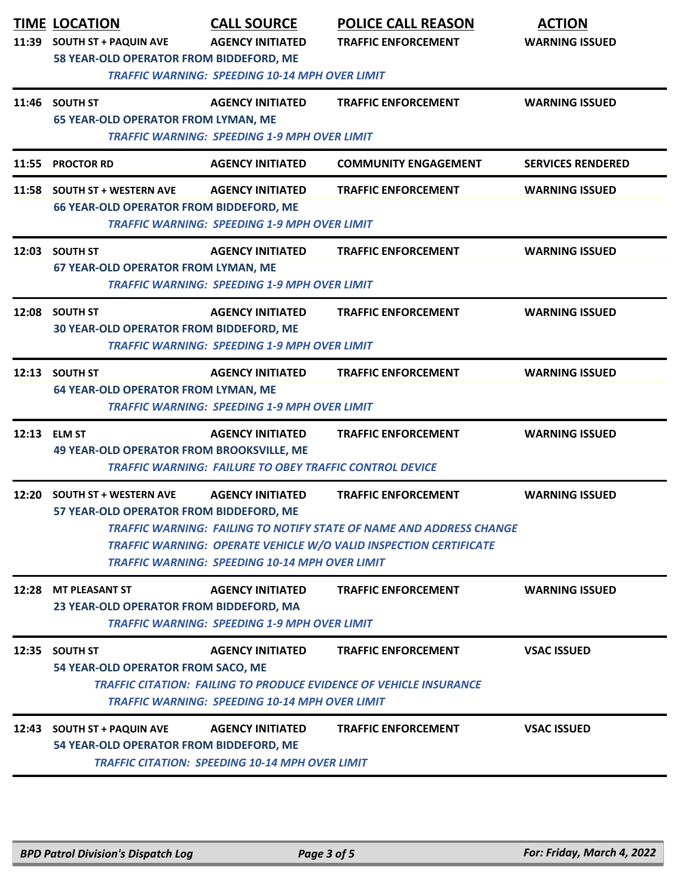| 11:39 | <b>TIME LOCATION</b><br><b>SOUTH ST + PAQUIN AVE</b>                                             | <b>CALL SOURCE</b><br><b>AGENCY INITIATED</b>                                             | <b>POLICE CALL REASON</b><br><b>TRAFFIC ENFORCEMENT</b>                                                                                                                        | <b>ACTION</b><br><b>WARNING ISSUED</b> |  |
|-------|--------------------------------------------------------------------------------------------------|-------------------------------------------------------------------------------------------|--------------------------------------------------------------------------------------------------------------------------------------------------------------------------------|----------------------------------------|--|
|       | 58 YEAR-OLD OPERATOR FROM BIDDEFORD, ME<br><b>TRAFFIC WARNING: SPEEDING 10-14 MPH OVER LIMIT</b> |                                                                                           |                                                                                                                                                                                |                                        |  |
|       | 11:46 SOUTH ST<br><b>65 YEAR-OLD OPERATOR FROM LYMAN, ME</b>                                     | <b>AGENCY INITIATED</b><br><b>TRAFFIC WARNING: SPEEDING 1-9 MPH OVER LIMIT</b>            | <b>TRAFFIC ENFORCEMENT</b>                                                                                                                                                     | <b>WARNING ISSUED</b>                  |  |
| 11:55 | <b>PROCTOR RD</b>                                                                                | <b>AGENCY INITIATED</b>                                                                   | <b>COMMUNITY ENGAGEMENT</b>                                                                                                                                                    | <b>SERVICES RENDERED</b>               |  |
| 11:58 | <b>SOUTH ST + WESTERN AVE</b><br><b>66 YEAR-OLD OPERATOR FROM BIDDEFORD, ME</b>                  | <b>AGENCY INITIATED</b><br><b>TRAFFIC WARNING: SPEEDING 1-9 MPH OVER LIMIT</b>            | <b>TRAFFIC ENFORCEMENT</b>                                                                                                                                                     | <b>WARNING ISSUED</b>                  |  |
|       | 12:03 SOUTH ST<br><b>67 YEAR-OLD OPERATOR FROM LYMAN, ME</b>                                     | <b>AGENCY INITIATED</b><br><b>TRAFFIC WARNING: SPEEDING 1-9 MPH OVER LIMIT</b>            | <b>TRAFFIC ENFORCEMENT</b>                                                                                                                                                     | <b>WARNING ISSUED</b>                  |  |
| 12:08 | <b>SOUTH ST</b><br>30 YEAR-OLD OPERATOR FROM BIDDEFORD, ME                                       | <b>AGENCY INITIATED</b><br><b>TRAFFIC WARNING: SPEEDING 1-9 MPH OVER LIMIT</b>            | <b>TRAFFIC ENFORCEMENT</b>                                                                                                                                                     | <b>WARNING ISSUED</b>                  |  |
|       | 12:13 SOUTH ST<br><b>64 YEAR-OLD OPERATOR FROM LYMAN, ME</b>                                     | <b>AGENCY INITIATED</b><br><b>TRAFFIC WARNING: SPEEDING 1-9 MPH OVER LIMIT</b>            | <b>TRAFFIC ENFORCEMENT</b>                                                                                                                                                     | <b>WARNING ISSUED</b>                  |  |
| 12:13 | <b>ELM ST</b><br>49 YEAR-OLD OPERATOR FROM BROOKSVILLE, ME                                       | <b>AGENCY INITIATED</b><br><b>TRAFFIC WARNING: FAILURE TO OBEY TRAFFIC CONTROL DEVICE</b> | <b>TRAFFIC ENFORCEMENT</b>                                                                                                                                                     | <b>WARNING ISSUED</b>                  |  |
| 12:20 | <b>SOUTH ST + WESTERN AVE</b><br>57 YEAR-OLD OPERATOR FROM BIDDEFORD, ME                         | <b>AGENCY INITIATED</b><br><b>TRAFFIC WARNING: SPEEDING 10-14 MPH OVER LIMIT</b>          | <b>TRAFFIC ENFORCEMENT</b><br>TRAFFIC WARNING:  FAILING TO NOTIFY STATE OF NAME AND ADDRESS CHANGE<br><b>TRAFFIC WARNING: OPERATE VEHICLE W/O VALID INSPECTION CERTIFICATE</b> | <b>WARNING ISSUED</b>                  |  |
|       | 12:28 MT PLEASANT ST<br>23 YEAR-OLD OPERATOR FROM BIDDEFORD, MA                                  | <b>AGENCY INITIATED</b><br><b>TRAFFIC WARNING: SPEEDING 1-9 MPH OVER LIMIT</b>            | <b>TRAFFIC ENFORCEMENT</b>                                                                                                                                                     | <b>WARNING ISSUED</b>                  |  |
| 12:35 | <b>SOUTH ST</b><br>54 YEAR-OLD OPERATOR FROM SACO, ME                                            | <b>AGENCY INITIATED</b><br><b>TRAFFIC WARNING: SPEEDING 10-14 MPH OVER LIMIT</b>          | <b>TRAFFIC ENFORCEMENT</b><br><b>TRAFFIC CITATION: FAILING TO PRODUCE EVIDENCE OF VEHICLE INSURANCE</b>                                                                        | <b>VSAC ISSUED</b>                     |  |
|       | 12:43 SOUTH ST + PAQUIN AVE<br>54 YEAR-OLD OPERATOR FROM BIDDEFORD, ME                           | <b>AGENCY INITIATED</b><br><b>TRAFFIC CITATION: SPEEDING 10-14 MPH OVER LIMIT</b>         | <b>TRAFFIC ENFORCEMENT</b>                                                                                                                                                     | <b>VSAC ISSUED</b>                     |  |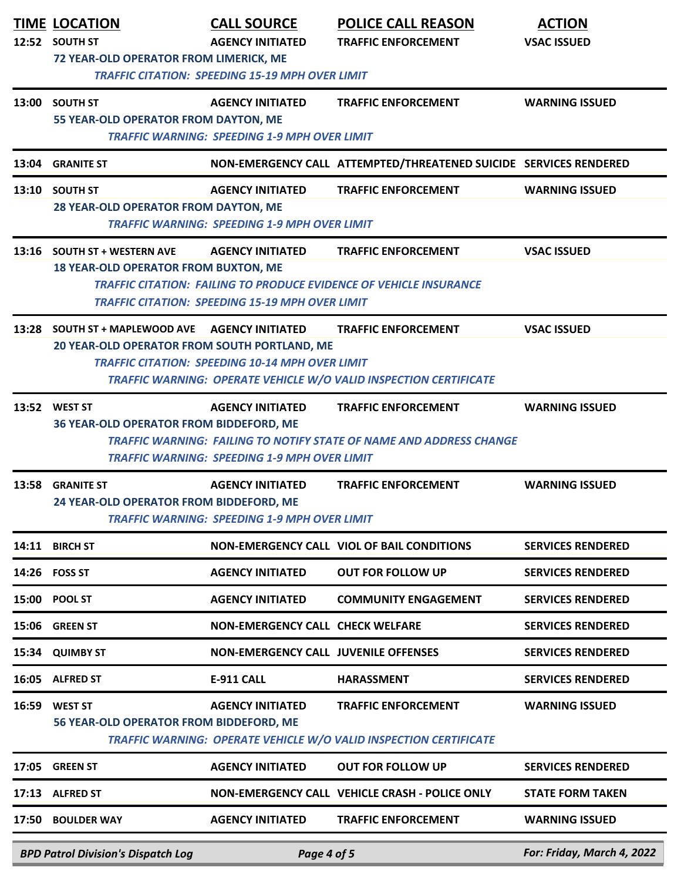|                                                                                        | <b>TIME LOCATION</b><br>12:52 SOUTH ST<br><b>72 YEAR-OLD OPERATOR FROM LIMERICK, ME</b> | <b>CALL SOURCE</b><br><b>AGENCY INITIATED</b><br><b>TRAFFIC CITATION: SPEEDING 15-19 MPH OVER LIMIT</b> | <b>POLICE CALL REASON</b><br><b>TRAFFIC ENFORCEMENT</b>                                                 | <b>ACTION</b><br><b>VSAC ISSUED</b> |
|----------------------------------------------------------------------------------------|-----------------------------------------------------------------------------------------|---------------------------------------------------------------------------------------------------------|---------------------------------------------------------------------------------------------------------|-------------------------------------|
|                                                                                        | 13:00 SOUTH ST<br>55 YEAR-OLD OPERATOR FROM DAYTON, ME                                  | <b>AGENCY INITIATED</b><br><b>TRAFFIC WARNING: SPEEDING 1-9 MPH OVER LIMIT</b>                          | <b>TRAFFIC ENFORCEMENT</b>                                                                              | <b>WARNING ISSUED</b>               |
|                                                                                        | 13:04 GRANITE ST                                                                        |                                                                                                         | NON-EMERGENCY CALL ATTEMPTED/THREATENED SUICIDE SERVICES RENDERED                                       |                                     |
|                                                                                        | 13:10 SOUTH ST<br>28 YEAR-OLD OPERATOR FROM DAYTON, ME                                  | <b>AGENCY INITIATED</b><br><b>TRAFFIC WARNING: SPEEDING 1-9 MPH OVER LIMIT</b>                          | <b>TRAFFIC ENFORCEMENT</b>                                                                              | <b>WARNING ISSUED</b>               |
|                                                                                        | 13:16 SOUTH ST + WESTERN AVE<br><b>18 YEAR-OLD OPERATOR FROM BUXTON, ME</b>             | <b>AGENCY INITIATED</b><br><b>TRAFFIC CITATION: SPEEDING 15-19 MPH OVER LIMIT</b>                       | <b>TRAFFIC ENFORCEMENT</b><br><b>TRAFFIC CITATION: FAILING TO PRODUCE EVIDENCE OF VEHICLE INSURANCE</b> | <b>VSAC ISSUED</b>                  |
|                                                                                        | 13:28 SOUTH ST + MAPLEWOOD AVE<br>20 YEAR-OLD OPERATOR FROM SOUTH PORTLAND, ME          | <b>AGENCY INITIATED</b><br><b>TRAFFIC CITATION: SPEEDING 10-14 MPH OVER LIMIT</b>                       | <b>TRAFFIC ENFORCEMENT</b><br>TRAFFIC WARNING: OPERATE VEHICLE W/O VALID INSPECTION CERTIFICATE         | <b>VSAC ISSUED</b>                  |
|                                                                                        | 13:52 WEST ST<br>36 YEAR-OLD OPERATOR FROM BIDDEFORD, ME                                | <b>AGENCY INITIATED</b><br><b>TRAFFIC WARNING: SPEEDING 1-9 MPH OVER LIMIT</b>                          | <b>TRAFFIC ENFORCEMENT</b><br>TRAFFIC WARNING: FAILING TO NOTIFY STATE OF NAME AND ADDRESS CHANGE       | <b>WARNING ISSUED</b>               |
| 13:58                                                                                  | <b>GRANITE ST</b><br>24 YEAR-OLD OPERATOR FROM BIDDEFORD, ME                            | <b>AGENCY INITIATED</b><br><b>TRAFFIC WARNING: SPEEDING 1-9 MPH OVER LIMIT</b>                          | <b>TRAFFIC ENFORCEMENT</b>                                                                              | <b>WARNING ISSUED</b>               |
|                                                                                        | 14:11 BIRCH ST                                                                          |                                                                                                         | NON-EMERGENCY CALL VIOL OF BAIL CONDITIONS                                                              | <b>SERVICES RENDERED</b>            |
|                                                                                        | 14:26 FOSS ST                                                                           | <b>AGENCY INITIATED</b>                                                                                 | <b>OUT FOR FOLLOW UP</b>                                                                                | <b>SERVICES RENDERED</b>            |
|                                                                                        | 15:00 POOL ST                                                                           | <b>AGENCY INITIATED</b>                                                                                 | <b>COMMUNITY ENGAGEMENT</b>                                                                             | <b>SERVICES RENDERED</b>            |
| 15:06                                                                                  | <b>GREEN ST</b>                                                                         | <b>NON-EMERGENCY CALL CHECK WELFARE</b>                                                                 |                                                                                                         | <b>SERVICES RENDERED</b>            |
| 15:34                                                                                  | <b>QUIMBY ST</b>                                                                        | <b>NON-EMERGENCY CALL JUVENILE OFFENSES</b>                                                             |                                                                                                         | <b>SERVICES RENDERED</b>            |
|                                                                                        | 16:05 ALFRED ST                                                                         | <b>E-911 CALL</b>                                                                                       | <b>HARASSMENT</b>                                                                                       | <b>SERVICES RENDERED</b>            |
| 16:59                                                                                  | <b>WEST ST</b><br>56 YEAR-OLD OPERATOR FROM BIDDEFORD, ME                               | <b>AGENCY INITIATED</b>                                                                                 | <b>TRAFFIC ENFORCEMENT</b><br>TRAFFIC WARNING: OPERATE VEHICLE W/O VALID INSPECTION CERTIFICATE         | <b>WARNING ISSUED</b>               |
| 17:05                                                                                  | <b>GREEN ST</b>                                                                         | <b>AGENCY INITIATED</b>                                                                                 | <b>OUT FOR FOLLOW UP</b>                                                                                | <b>SERVICES RENDERED</b>            |
| 17:13                                                                                  | <b>ALFRED ST</b>                                                                        |                                                                                                         | NON-EMERGENCY CALL VEHICLE CRASH - POLICE ONLY                                                          | <b>STATE FORM TAKEN</b>             |
|                                                                                        | 17:50 BOULDER WAY                                                                       | <b>AGENCY INITIATED</b>                                                                                 | <b>TRAFFIC ENFORCEMENT</b>                                                                              | <b>WARNING ISSUED</b>               |
| For: Friday, March 4, 2022<br><b>BPD Patrol Division's Dispatch Log</b><br>Page 4 of 5 |                                                                                         |                                                                                                         |                                                                                                         |                                     |